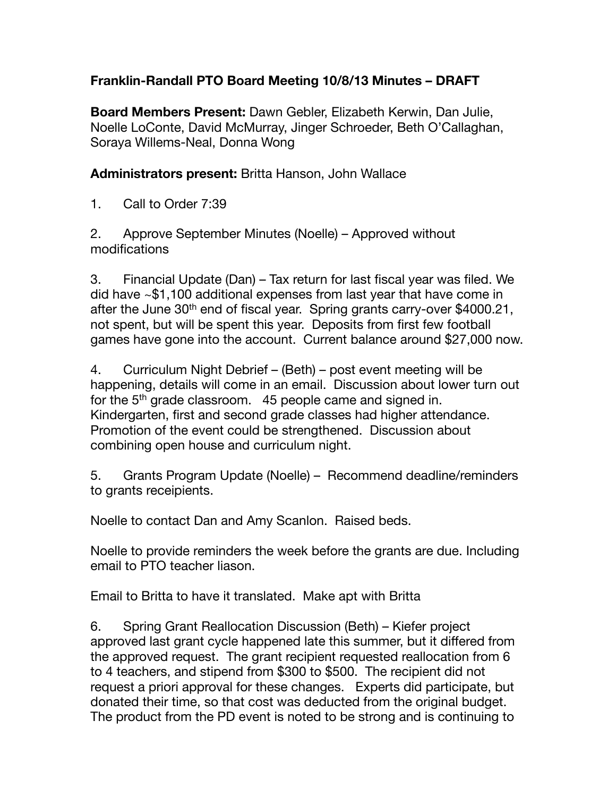## **Franklin-Randall PTO Board Meeting 10/8/13 Minutes – DRAFT**

**Board Members Present:** Dawn Gebler, Elizabeth Kerwin, Dan Julie, Noelle LoConte, David McMurray, Jinger Schroeder, Beth O'Callaghan, Soraya Willems-Neal, Donna Wong

**Administrators present:** Britta Hanson, John Wallace

1. Call to Order 7:39

2. Approve September Minutes (Noelle) – Approved without modifications

3. Financial Update (Dan) – Tax return for last fiscal year was filed. We did have ~\$1,100 additional expenses from last year that have come in after the June 30<sup>th</sup> end of fiscal year. Spring grants carry-over \$4000.21, not spent, but will be spent this year. Deposits from first few football games have gone into the account. Current balance around \$27,000 now.

4. Curriculum Night Debrief – (Beth) – post event meeting will be happening, details will come in an email. Discussion about lower turn out for the  $5<sup>th</sup>$  grade classroom. 45 people came and signed in. Kindergarten, first and second grade classes had higher attendance. Promotion of the event could be strengthened. Discussion about combining open house and curriculum night.

5. Grants Program Update (Noelle) – Recommend deadline/reminders to grants receipients.

Noelle to contact Dan and Amy Scanlon. Raised beds.

Noelle to provide reminders the week before the grants are due. Including email to PTO teacher liason.

Email to Britta to have it translated. Make apt with Britta

6. Spring Grant Reallocation Discussion (Beth) – Kiefer project approved last grant cycle happened late this summer, but it differed from the approved request. The grant recipient requested reallocation from 6 to 4 teachers, and stipend from \$300 to \$500. The recipient did not request a priori approval for these changes. Experts did participate, but donated their time, so that cost was deducted from the original budget. The product from the PD event is noted to be strong and is continuing to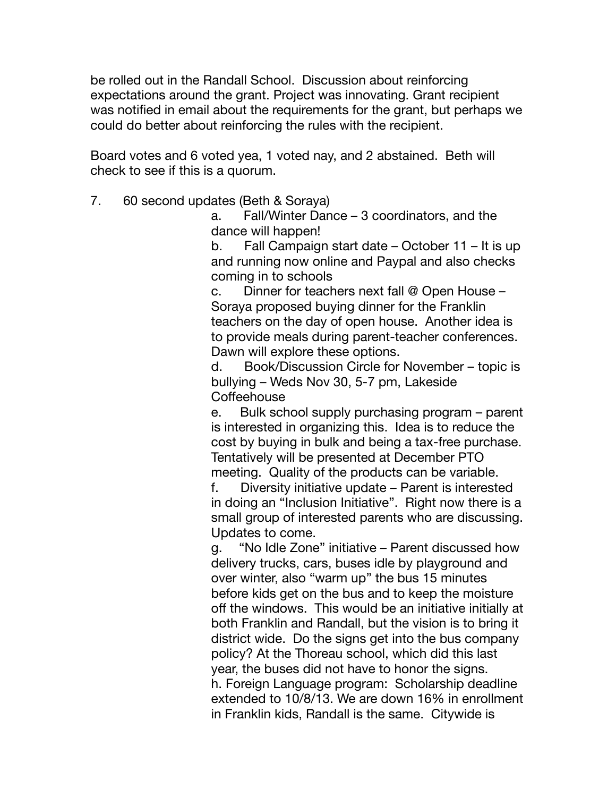be rolled out in the Randall School. Discussion about reinforcing expectations around the grant. Project was innovating. Grant recipient was notified in email about the requirements for the grant, but perhaps we could do better about reinforcing the rules with the recipient.

Board votes and 6 voted yea, 1 voted nay, and 2 abstained. Beth will check to see if this is a quorum.

7. 60 second updates (Beth & Soraya)

a. Fall/Winter Dance – 3 coordinators, and the dance will happen!

b. Fall Campaign start date – October 11 – It is up and running now online and Paypal and also checks coming in to schools

c. Dinner for teachers next fall @ Open House – Soraya proposed buying dinner for the Franklin teachers on the day of open house. Another idea is to provide meals during parent-teacher conferences. Dawn will explore these options.

d. Book/Discussion Circle for November – topic is bullying – Weds Nov 30, 5-7 pm, Lakeside **Coffeehouse** 

e. Bulk school supply purchasing program – parent is interested in organizing this. Idea is to reduce the cost by buying in bulk and being a tax-free purchase. Tentatively will be presented at December PTO meeting. Quality of the products can be variable.

f. Diversity initiative update – Parent is interested in doing an "Inclusion Initiative". Right now there is a small group of interested parents who are discussing. Updates to come.

g. "No Idle Zone" initiative – Parent discussed how delivery trucks, cars, buses idle by playground and over winter, also "warm up" the bus 15 minutes before kids get on the bus and to keep the moisture off the windows. This would be an initiative initially at both Franklin and Randall, but the vision is to bring it district wide. Do the signs get into the bus company policy? At the Thoreau school, which did this last year, the buses did not have to honor the signs. h. Foreign Language program: Scholarship deadline extended to 10/8/13. We are down 16% in enrollment in Franklin kids, Randall is the same. Citywide is